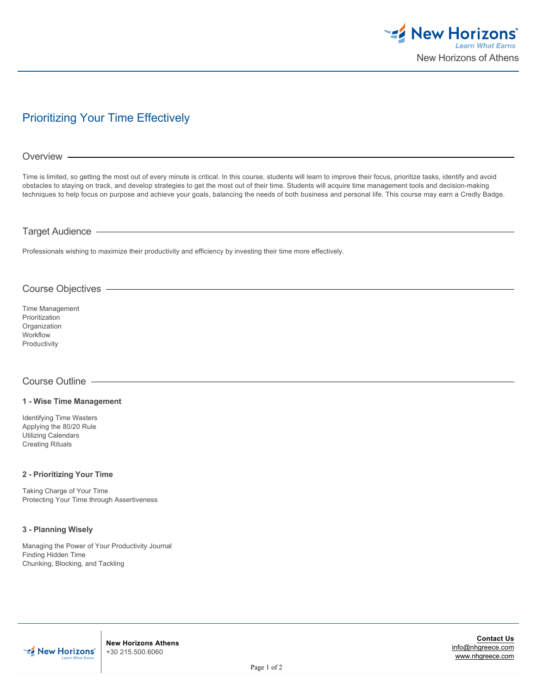

# Prioritizing Your Time Effectively

#### Overview

Time is limited, so getting the most out of every minute is critical. In this course, students will learn to improve their focus, prioritize tasks, identify and avoid obstacles to staying on track, and develop strategies to get the most out of their time. Students will acquire time management tools and decision-making techniques to help focus on purpose and achieve your goals, balancing the needs of both business and personal life. This course may earn a Credly Badge.

# Target Audience

Professionals wishing to maximize their productivity and efficiency by investing their time more effectively.

# Course Objectives

Time Management Prioritization **Organization** Workflow Productivity

# Course Outline

#### **1 - Wise Time Management**

Identifying Time Wasters Applying the 80/20 Rule Utilizing Calendars Creating Rituals

#### **2 - Prioritizing Your Time**

Taking Charge of Your Time Protecting Your Time through Assertiveness

#### **3 - Planning Wisely**

Managing the Power of Your Productivity Journal Finding Hidden Time Chunking, Blocking, and Tackling



**New Horizons Athens** +30 215.500.6060